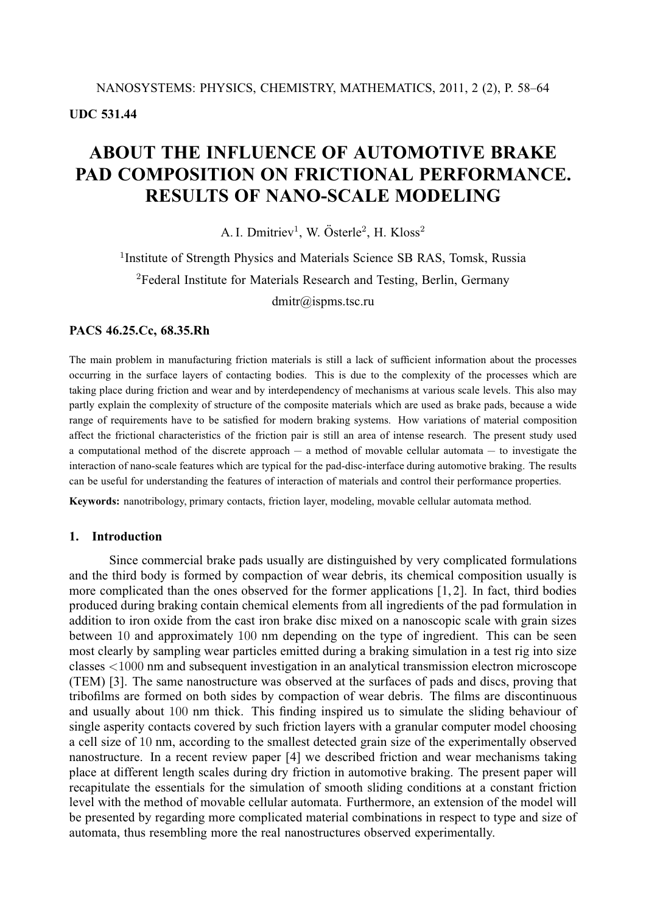**UDC 531.44**

# **ABOUT THE INFLUENCE OF AUTOMOTIVE BRAKE PAD COMPOSITION ON FRICTIONAL PERFORMANCE. RESULTS OF NANO-SCALE MODELING**

A. I. Dmitriev<sup>1</sup>, W. Österle<sup>2</sup>, H. Kloss<sup>2</sup>

<sup>1</sup>Institute of Strength Physics and Materials Science SB RAS, Tomsk, Russia <sup>2</sup>Federal Institute for Materials Research and Testing, Berlin, Germany dmitr@ispms.tsc.ru

#### **PACS 46.25.Cc, 68.35.Rh**

The main problem in manufacturing friction materials is still a lack of sufficient information about the processes occurring in the surface layers of contacting bodies. This is due to the complexity of the processes which are taking place during friction and wear and by interdependency of mechanisms at various scale levels. This also may partly explain the complexity of structure of the composite materials which are used as brake pads, because a wide range of requirements have to be satisfied for modern braking systems. How variations of material composition affect the frictional characteristics of the friction pair is still an area of intense research. The present study used a computational method of the discrete approach — a method of movable cellular automata — to investigate the interaction of nano-scale features which are typical for the pad-disc-interface during automotive braking. The results can be useful for understanding the features of interaction of materials and control their performance properties.

**Keywords:** nanotribology, primary contacts, friction layer, modeling, movable cellular automata method.

## **1. Introduction**

Since commercial brake pads usually are distinguished by very complicated formulations and the third body is formed by compaction of wear debris, its chemical composition usually is more complicated than the ones observed for the former applications [1, 2]. In fact, third bodies produced during braking contain chemical elements from all ingredients of the pad formulation in addition to iron oxide from the cast iron brake disc mixed on a nanoscopic scale with grain sizes between 10 and approximately 100 nm depending on the type of ingredient. This can be seen most clearly by sampling wear particles emitted during a braking simulation in a test rig into size classes <1000 nm and subsequent investigation in an analytical transmission electron microscope (TEM) [3]. The same nanostructure was observed at the surfaces of pads and discs, proving that tribofilms are formed on both sides by compaction of wear debris. The films are discontinuous and usually about 100 nm thick. This finding inspired us to simulate the sliding behaviour of single asperity contacts covered by such friction layers with a granular computer model choosing a cell size of 10 nm, according to the smallest detected grain size of the experimentally observed nanostructure. In a recent review paper [4] we described friction and wear mechanisms taking place at different length scales during dry friction in automotive braking. The present paper will recapitulate the essentials for the simulation of smooth sliding conditions at a constant friction level with the method of movable cellular automata. Furthermore, an extension of the model will be presented by regarding more complicated material combinations in respect to type and size of automata, thus resembling more the real nanostructures observed experimentally.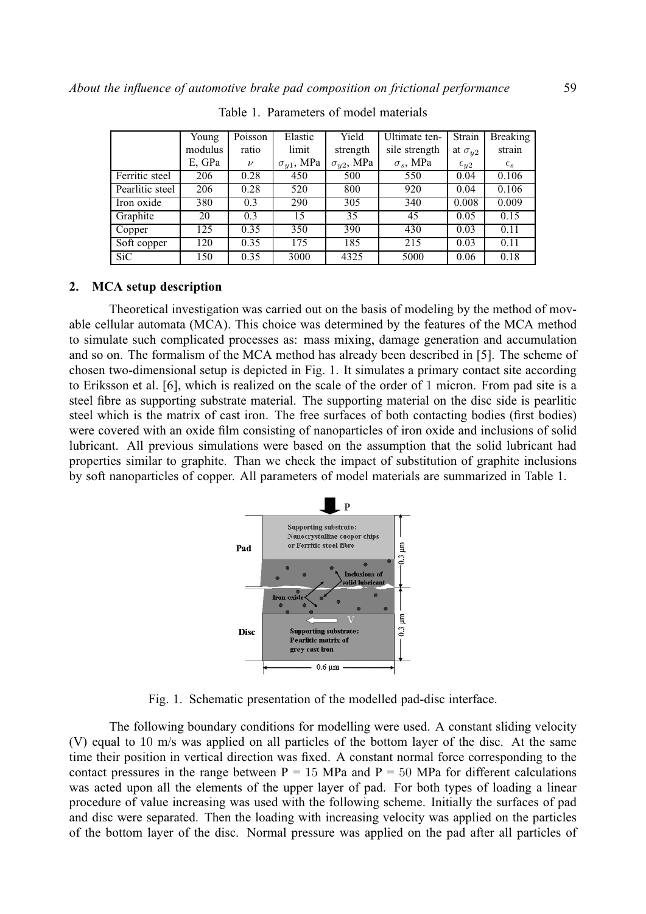|                 | Young   | Poisson | Elastic             | Yield               | Ultimate ten-    | Strain           | <b>Breaking</b> |
|-----------------|---------|---------|---------------------|---------------------|------------------|------------------|-----------------|
|                 | modulus | ratio   | limit               | strength            | sile strength    | at $\sigma_{u2}$ | strain          |
|                 | E, GPa  | $\nu$   | $\sigma_{v1}$ , MPa | $\sigma_{y2}$ , MPa | $\sigma_s$ , MPa | $\epsilon_{y2}$  | $\epsilon_{s}$  |
| Ferritic steel  | 206     | 0.28    | 450                 | 500                 | 550              | 0.04             | 0.106           |
| Pearlitic steel | 206     | 0.28    | 520                 | 800                 | 920              | 0.04             | 0.106           |
| Iron oxide      | 380     | 0.3     | 290                 | 305                 | 340              | 0.008            | 0.009           |
| Graphite        | 20      | 0.3     | 15                  | 35                  | 45               | 0.05             | 0.15            |
| Copper          | 125     | 0.35    | 350                 | 390                 | 430              | 0.03             | 0.11            |
| Soft copper     | 120     | 0.35    | 175                 | 185                 | 215              | 0.03             | 0.11            |
| <b>SiC</b>      | 150     | 0.35    | 3000                | 4325                | 5000             | 0.06             | 0.18            |

Table 1. Parameters of model materials

#### **2. MCA setup description**

Theoretical investigation was carried out on the basis of modeling by the method of movable cellular automata (MCA). This choice was determined by the features of the MCA method to simulate such complicated processes as: mass mixing, damage generation and accumulation and so on. The formalism of the MCA method has already been described in [5]. The scheme of chosen two-dimensional setup is depicted in Fig. 1. It simulates a primary contact site according to Eriksson et al. [6], which is realized on the scale of the order of 1 micron. From pad site is a steel fibre as supporting substrate material. The supporting material on the disc side is pearlitic steel which is the matrix of cast iron. The free surfaces of both contacting bodies (first bodies) were covered with an oxide film consisting of nanoparticles of iron oxide and inclusions of solid lubricant. All previous simulations were based on the assumption that the solid lubricant had properties similar to graphite. Than we check the impact of substitution of graphite inclusions by soft nanoparticles of copper. All parameters of model materials are summarized in Table 1.



Fig. 1. Schematic presentation of the modelled pad-disc interface.

The following boundary conditions for modelling were used. A constant sliding velocity (V) equal to 10 m/s was applied on all particles of the bottom layer of the disc. At the same time their position in vertical direction was fixed. A constant normal force corresponding to the contact pressures in the range between  $P = 15$  MPa and  $P = 50$  MPa for different calculations was acted upon all the elements of the upper layer of pad. For both types of loading a linear procedure of value increasing was used with the following scheme. Initially the surfaces of pad and disc were separated. Then the loading with increasing velocity was applied on the particles of the bottom layer of the disc. Normal pressure was applied on the pad after all particles of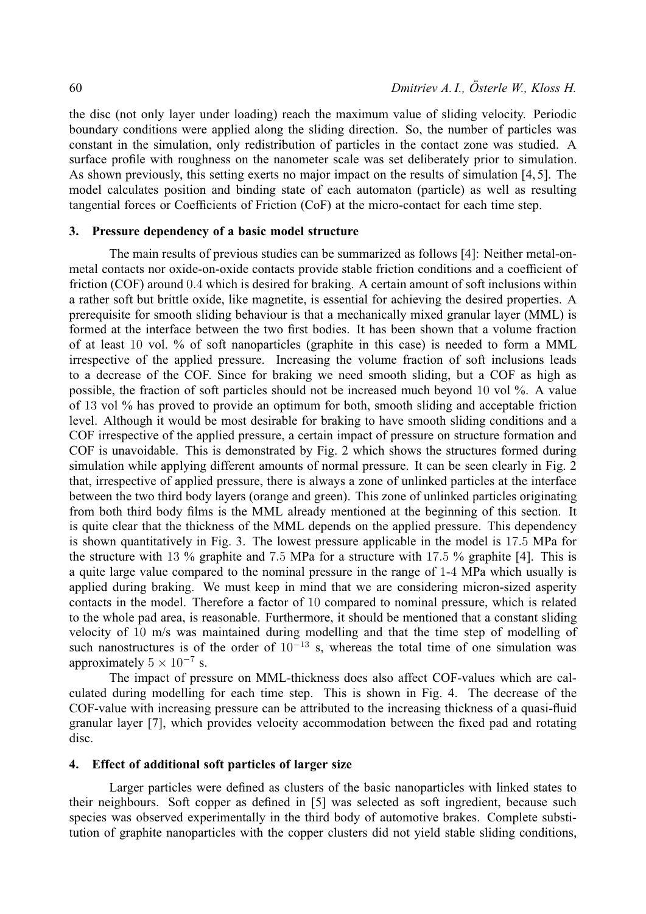the disc (not only layer under loading) reach the maximum value of sliding velocity. Periodic boundary conditions were applied along the sliding direction. So, the number of particles was constant in the simulation, only redistribution of particles in the contact zone was studied. A surface profile with roughness on the nanometer scale was set deliberately prior to simulation. As shown previously, this setting exerts no major impact on the results of simulation [4, 5]. The model calculates position and binding state of each automaton (particle) as well as resulting tangential forces or Coefficients of Friction (CoF) at the micro-contact for each time step.

# **3. Pressure dependency of a basic model structure**

The main results of previous studies can be summarized as follows [4]: Neither metal-onmetal contacts nor oxide-on-oxide contacts provide stable friction conditions and a coefficient of friction (COF) around 0.4 which is desired for braking. A certain amount of soft inclusions within a rather soft but brittle oxide, like magnetite, is essential for achieving the desired properties. A prerequisite for smooth sliding behaviour is that a mechanically mixed granular layer (MML) is formed at the interface between the two first bodies. It has been shown that a volume fraction of at least 10 vol. % of soft nanoparticles (graphite in this case) is needed to form a MML irrespective of the applied pressure. Increasing the volume fraction of soft inclusions leads to a decrease of the COF. Since for braking we need smooth sliding, but a COF as high as possible, the fraction of soft particles should not be increased much beyond 10 vol %. A value of 13 vol % has proved to provide an optimum for both, smooth sliding and acceptable friction level. Although it would be most desirable for braking to have smooth sliding conditions and a COF irrespective of the applied pressure, a certain impact of pressure on structure formation and COF is unavoidable. This is demonstrated by Fig. 2 which shows the structures formed during simulation while applying different amounts of normal pressure. It can be seen clearly in Fig. 2 that, irrespective of applied pressure, there is always a zone of unlinked particles at the interface between the two third body layers (orange and green). This zone of unlinked particles originating from both third body films is the MML already mentioned at the beginning of this section. It is quite clear that the thickness of the MML depends on the applied pressure. This dependency is shown quantitatively in Fig. 3. The lowest pressure applicable in the model is 17.5 MPa for the structure with 13 % graphite and 7.5 MPa for a structure with 17.5 % graphite [4]. This is a quite large value compared to the nominal pressure in the range of 1-4 MPa which usually is applied during braking. We must keep in mind that we are considering micron-sized asperity contacts in the model. Therefore a factor of 10 compared to nominal pressure, which is related to the whole pad area, is reasonable. Furthermore, it should be mentioned that a constant sliding velocity of 10 m/s was maintained during modelling and that the time step of modelling of such nanostructures is of the order of  $10^{-13}$  s, whereas the total time of one simulation was approximately  $5 \times 10^{-7}$  s.

The impact of pressure on MML-thickness does also affect COF-values which are calculated during modelling for each time step. This is shown in Fig. 4. The decrease of the COF-value with increasing pressure can be attributed to the increasing thickness of a quasi-fluid granular layer [7], which provides velocity accommodation between the fixed pad and rotating disc.

# **4. Effect of additional soft particles of larger size**

Larger particles were defined as clusters of the basic nanoparticles with linked states to their neighbours. Soft copper as defined in [5] was selected as soft ingredient, because such species was observed experimentally in the third body of automotive brakes. Complete substitution of graphite nanoparticles with the copper clusters did not yield stable sliding conditions,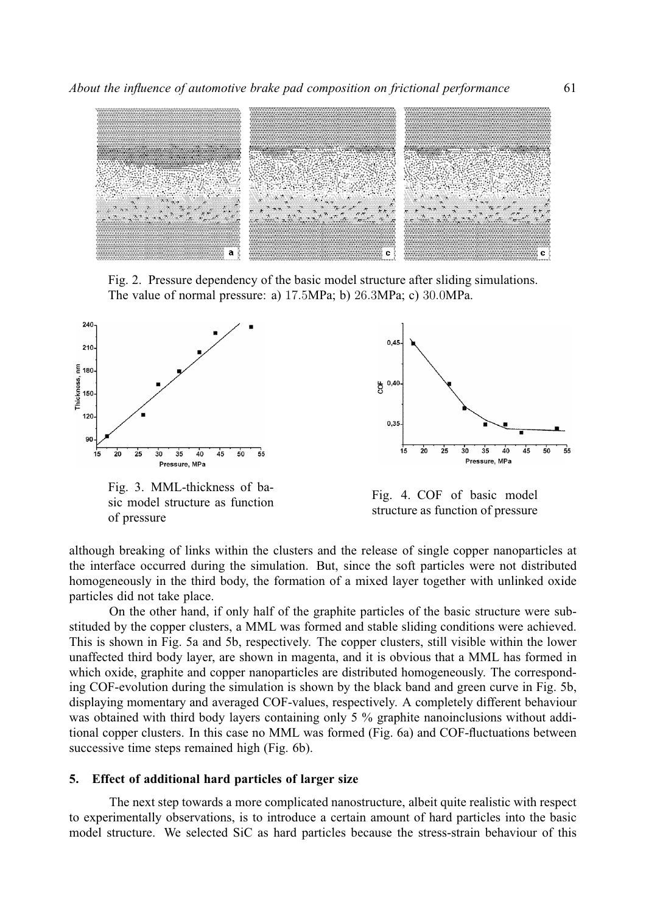

Fig. 2. Pressure dependency of the basic model structure after sliding simulations. The value of normal pressure: a) 17.5MPa; b) 26.3MPa; c) 30.0MPa.



Fig. 3. MML-thickness of basic model structure as function of pressure



Fig. 4. COF of basic model structure as function of pressure

although breaking of links within the clusters and the release of single copper nanoparticles at the interface occurred during the simulation. But, since the soft particles were not distributed homogeneously in the third body, the formation of a mixed layer together with unlinked oxide particles did not take place.

On the other hand, if only half of the graphite particles of the basic structure were substituded by the copper clusters, a MML was formed and stable sliding conditions were achieved. This is shown in Fig. 5a and 5b, respectively. The copper clusters, still visible within the lower unaffected third body layer, are shown in magenta, and it is obvious that a MML has formed in which oxide, graphite and copper nanoparticles are distributed homogeneously. The corresponding COF-evolution during the simulation is shown by the black band and green curve in Fig. 5b, displaying momentary and averaged COF-values, respectively. A completely different behaviour was obtained with third body layers containing only 5 % graphite nanoinclusions without additional copper clusters. In this case no MML was formed (Fig. 6a) and COF-fluctuations between successive time steps remained high (Fig. 6b).

### **5. Effect of additional hard particles of larger size**

The next step towards a more complicated nanostructure, albeit quite realistic with respect to experimentally observations, is to introduce a certain amount of hard particles into the basic model structure. We selected SiC as hard particles because the stress-strain behaviour of this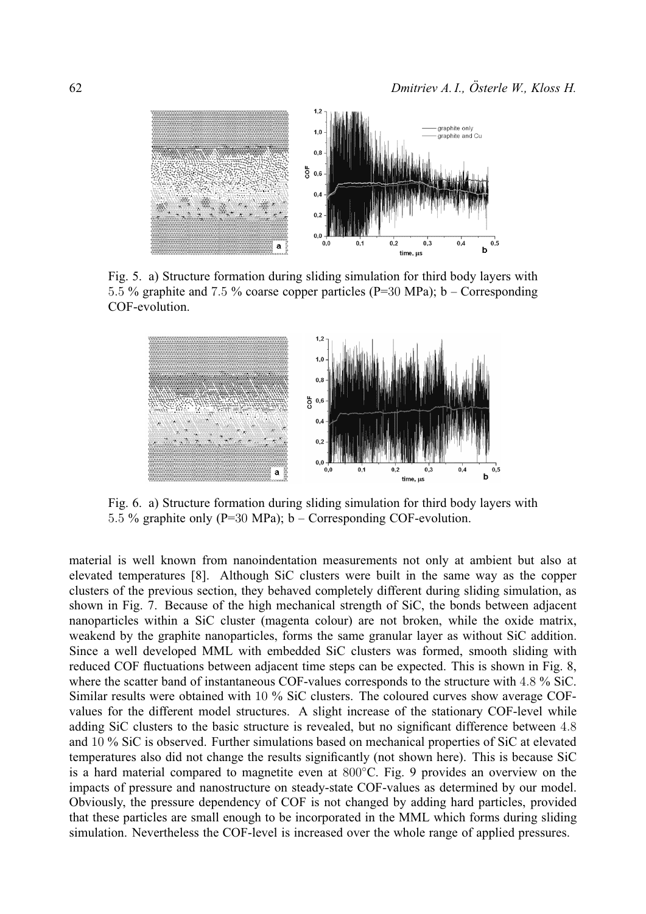

Fig. 5. a) Structure formation during sliding simulation for third body layers with 5.5 % graphite and 7.5 % coarse copper particles (P=30 MPa); b – Corresponding COF-evolution.



Fig. 6. a) Structure formation during sliding simulation for third body layers with 5.5 % graphite only (P=30 MPa); b – Corresponding COF-evolution.

material is well known from nanoindentation measurements not only at ambient but also at elevated temperatures [8]. Although SiC clusters were built in the same way as the copper clusters of the previous section, they behaved completely different during sliding simulation, as shown in Fig. 7. Because of the high mechanical strength of SiC, the bonds between adjacent nanoparticles within a SiC cluster (magenta colour) are not broken, while the oxide matrix, weakend by the graphite nanoparticles, forms the same granular layer as without SiC addition. Since a well developed MML with embedded SiC clusters was formed, smooth sliding with reduced COF fluctuations between adjacent time steps can be expected. This is shown in Fig. 8, where the scatter band of instantaneous COF-values corresponds to the structure with 4.8 % SiC. Similar results were obtained with 10 % SiC clusters. The coloured curves show average COFvalues for the different model structures. A slight increase of the stationary COF-level while adding SiC clusters to the basic structure is revealed, but no significant difference between 4.8 and 10 % SiC is observed. Further simulations based on mechanical properties of SiC at elevated temperatures also did not change the results significantly (not shown here). This is because SiC is a hard material compared to magnetite even at 800∘C. Fig. 9 provides an overview on the impacts of pressure and nanostructure on steady-state COF-values as determined by our model. Obviously, the pressure dependency of COF is not changed by adding hard particles, provided that these particles are small enough to be incorporated in the MML which forms during sliding simulation. Nevertheless the COF-level is increased over the whole range of applied pressures.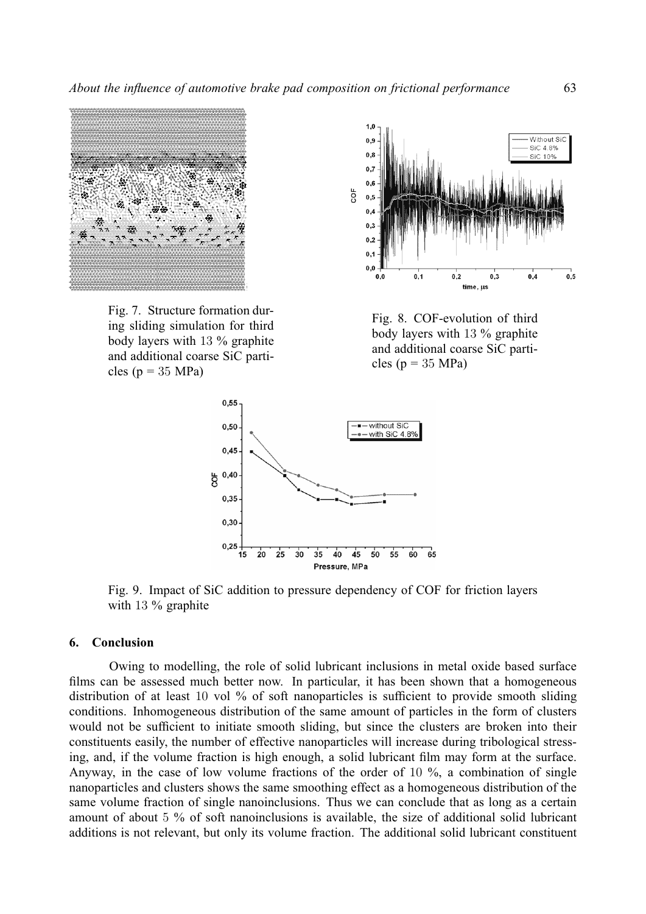

Fig. 7. Structure formation during sliding simulation for third body layers with 13 % graphite and additional coarse SiC particles ( $p = 35 \text{ MPa}$ )



Fig. 8. COF-evolution of third body layers with 13 % graphite and additional coarse SiC particles ( $p = 35 \text{ MPa}$ )



Fig. 9. Impact of SiC addition to pressure dependency of COF for friction layers with 13 % graphite

#### **6. Conclusion**

Owing to modelling, the role of solid lubricant inclusions in metal oxide based surface films can be assessed much better now. In particular, it has been shown that a homogeneous distribution of at least 10 vol % of soft nanoparticles is sufficient to provide smooth sliding conditions. Inhomogeneous distribution of the same amount of particles in the form of clusters would not be sufficient to initiate smooth sliding, but since the clusters are broken into their constituents easily, the number of effective nanoparticles will increase during tribological stressing, and, if the volume fraction is high enough, a solid lubricant film may form at the surface. Anyway, in the case of low volume fractions of the order of 10 %, a combination of single nanoparticles and clusters shows the same smoothing effect as a homogeneous distribution of the same volume fraction of single nanoinclusions. Thus we can conclude that as long as a certain amount of about 5 % of soft nanoinclusions is available, the size of additional solid lubricant additions is not relevant, but only its volume fraction. The additional solid lubricant constituent